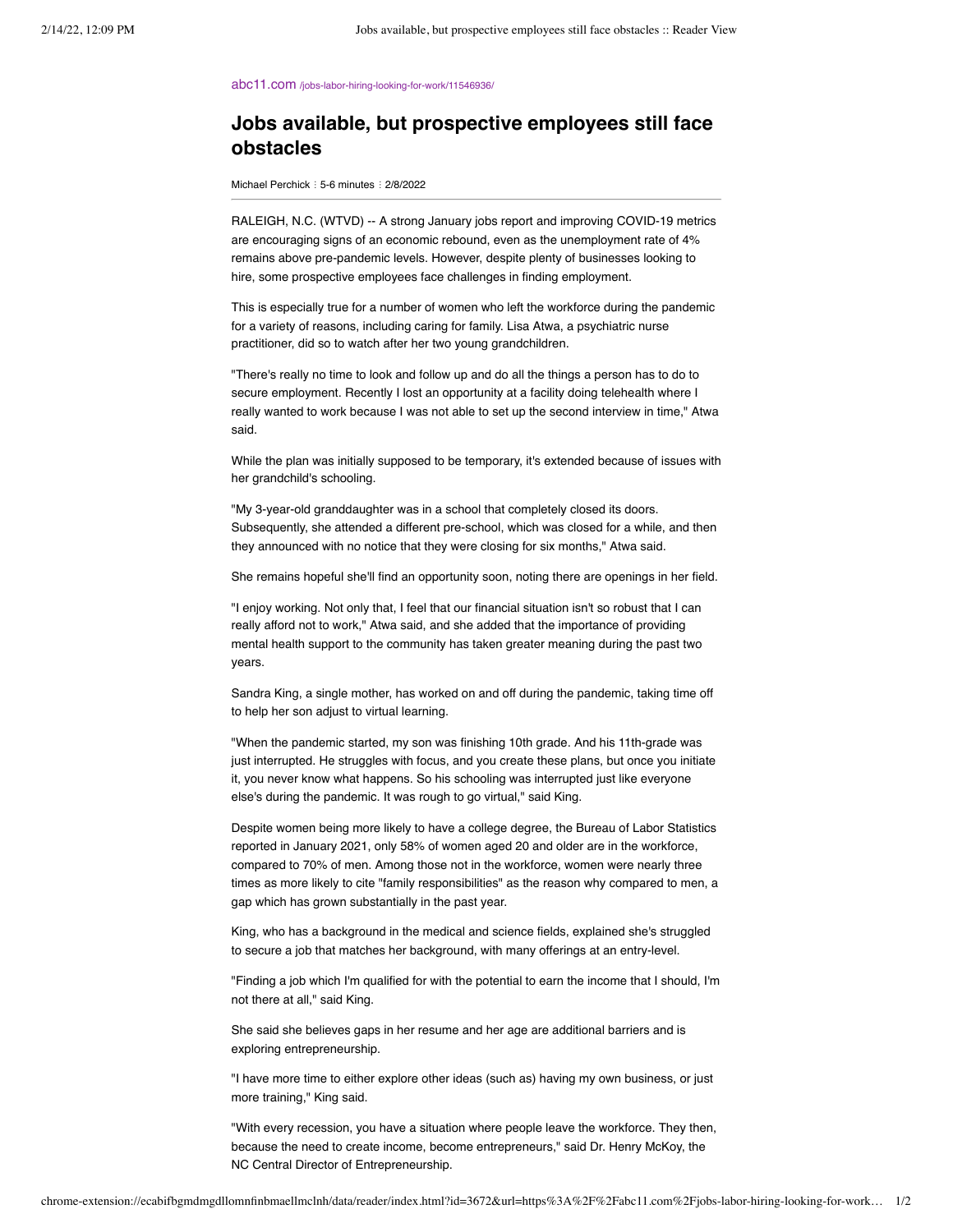abc11.com [/jobs-labor-hiring-looking-for-work/11546936/](https://abc11.com/jobs-labor-hiring-looking-for-work/11546936/)

## **Jobs available, but prospective employees still face obstacles**

Michael Perchick : 5-6 minutes : 2/8/2022

RALEIGH, N.C. (WTVD) -- A strong January jobs report and improving COVID-19 metrics are encouraging signs of an economic rebound, even as the unemployment rate of 4% remains above pre-pandemic levels. However, despite plenty of businesses looking to hire, some prospective employees face challenges in finding employment.

This is especially true for a number of women who left the workforce during the pandemic for a variety of reasons, including caring for family. Lisa Atwa, a psychiatric nurse practitioner, did so to watch after her two young grandchildren.

"There's really no time to look and follow up and do all the things a person has to do to secure employment. Recently I lost an opportunity at a facility doing telehealth where I really wanted to work because I was not able to set up the second interview in time," Atwa said.

While the plan was initially supposed to be temporary, it's extended because of issues with her grandchild's schooling.

"My 3-year-old granddaughter was in a school that completely closed its doors. Subsequently, she attended a different pre-school, which was closed for a while, and then they announced with no notice that they were closing for six months," Atwa said.

She remains hopeful she'll find an opportunity soon, noting there are openings in her field.

"I enjoy working. Not only that, I feel that our financial situation isn't so robust that I can really afford not to work," Atwa said, and she added that the importance of providing mental health support to the community has taken greater meaning during the past two years.

Sandra King, a single mother, has worked on and off during the pandemic, taking time off to help her son adjust to virtual learning.

"When the pandemic started, my son was finishing 10th grade. And his 11th-grade was just interrupted. He struggles with focus, and you create these plans, but once you initiate it, you never know what happens. So his schooling was interrupted just like everyone else's during the pandemic. It was rough to go virtual," said King.

Despite women being more likely to have a college degree, the Bureau of Labor Statistics reported in January 2021, only 58% of women aged 20 and older are in the workforce, compared to 70% of men. Among those not in the workforce, women were nearly three times as more likely to cite "family responsibilities" as the reason why compared to men, a gap which has grown substantially in the past year.

King, who has a background in the medical and science fields, explained she's struggled to secure a job that matches her background, with many offerings at an entry-level.

"Finding a job which I'm qualified for with the potential to earn the income that I should, I'm not there at all," said King.

She said she believes gaps in her resume and her age are additional barriers and is exploring entrepreneurship.

"I have more time to either explore other ideas (such as) having my own business, or just more training," King said.

"With every recession, you have a situation where people leave the workforce. They then, because the need to create income, become entrepreneurs," said Dr. Henry McKoy, the NC Central Director of Entrepreneurship.